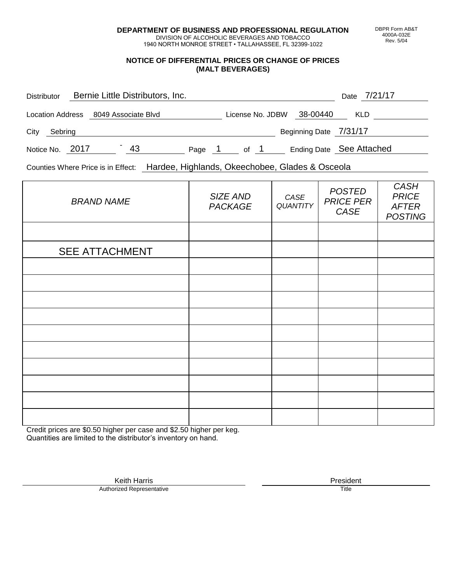**DEPARTMENT OF BUSINESS AND PROFESSIONAL REGULATION** DIVISION OF ALCOHOLIC BEVERAGES AND TOBACCO

1940 NORTH MONROE STREET • TALLAHASSEE, FL 32399-1022

### **NOTICE OF DIFFERENTIAL PRICES OR CHANGE OF PRICES (MALT BEVERAGES)**

| <b>Distributor</b>      | Bernie Little Distributors, Inc. |    |        |                  |                        | Date 7/21/17             |  |
|-------------------------|----------------------------------|----|--------|------------------|------------------------|--------------------------|--|
| <b>Location Address</b> | 8049 Associate Blvd              |    |        | License No. JDBW | 38-00440               | <b>KLD</b>               |  |
| City<br>Sebring         |                                  |    |        |                  | Beginning Date 7/31/17 |                          |  |
| Notice No. 2017         |                                  | 43 | Page 1 | of 1             |                        | Ending Date See Attached |  |

Counties Where Price is in Effect: Hardee, Highlands, Okeechobee, Glades & Osceola

| <b>BRAND NAME</b>     | SIZE AND<br><b>PACKAGE</b> | CASE<br>QUANTITY | <b>POSTED</b><br><b>PRICE PER</b><br>CASE | CASH<br><b>PRICE</b><br><b>AFTER</b><br><b>POSTING</b> |
|-----------------------|----------------------------|------------------|-------------------------------------------|--------------------------------------------------------|
|                       |                            |                  |                                           |                                                        |
| <b>SEE ATTACHMENT</b> |                            |                  |                                           |                                                        |
|                       |                            |                  |                                           |                                                        |
|                       |                            |                  |                                           |                                                        |
|                       |                            |                  |                                           |                                                        |
|                       |                            |                  |                                           |                                                        |
|                       |                            |                  |                                           |                                                        |
|                       |                            |                  |                                           |                                                        |
|                       |                            |                  |                                           |                                                        |
|                       |                            |                  |                                           |                                                        |
|                       |                            |                  |                                           |                                                        |
|                       |                            |                  |                                           |                                                        |

Credit prices are \$0.50 higher per case and \$2.50 higher per keg. Quantities are limited to the distributor's inventory on hand.

> Keith Harris **President**<br> **President**<br>
> Prized Representative **President Authorized Representative**

DBPR Form AB&T 4000A-032E Rev. 5/04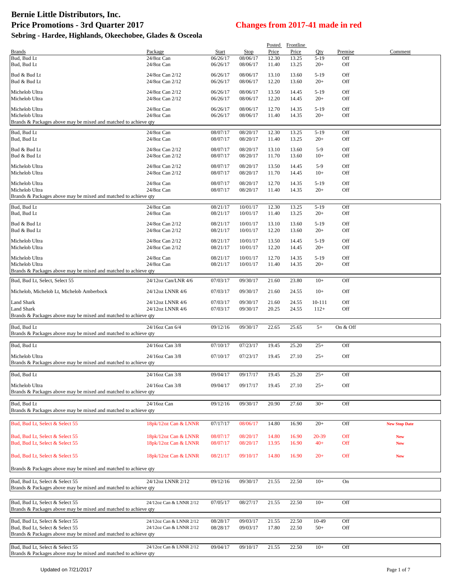|                                                                                                    |                                              |                      |                      | Posted         | Frontline      |                 |                |                          |
|----------------------------------------------------------------------------------------------------|----------------------------------------------|----------------------|----------------------|----------------|----------------|-----------------|----------------|--------------------------|
| <b>Brands</b><br>Bud, Bud Lt                                                                       | Package<br>24/8oz Can                        | Start<br>06/26/17    | Stop<br>08/06/17     | Price<br>12.30 | Price<br>13.25 | Oty<br>$5-19$   | Premise<br>Off | Comment                  |
| Bud, Bud Lt                                                                                        | 24/8oz Can                                   | 06/26/17             | 08/06/17             | 11.40          | 13.25          | $20+$           | Off            |                          |
| Bud & Bud Lt                                                                                       | 24/8oz Can 2/12                              | 06/26/17             | 08/06/17             | 13.10          | 13.60          | $5-19$          | Off            |                          |
| Bud & Bud Lt                                                                                       | 24/8oz Can 2/12                              | 06/26/17             | 08/06/17             | 12.20          | 13.60          | $20+$           | Off            |                          |
| Michelob Ultra                                                                                     | 24/8oz Can 2/12                              | 06/26/17             | 08/06/17             | 13.50          | 14.45          | $5-19$          | Off            |                          |
| Michelob Ultra                                                                                     | 24/8oz Can 2/12                              | 06/26/17             | 08/06/17             | 12.20          | 14.45          | $20+$           | Off            |                          |
| Michelob Ultra                                                                                     | 24/8oz Can                                   | 06/26/17             | 08/06/17             | 12.70          | 14.35          | $5-19$          | Off            |                          |
| Michelob Ultra<br>Brands & Packages above may be mixed and matched to achieve qty                  | 24/8oz Can                                   | 06/26/17             | 08/06/17             | 11.40          | 14.35          | $20+$           | Off            |                          |
| Bud, Bud Lt                                                                                        | 24/8oz Can                                   | 08/07/17             | 08/20/17             | 12.30          | 13.25          | $5-19$          | Off            |                          |
| Bud, Bud Lt                                                                                        | 24/8oz Can                                   | 08/07/17             | 08/20/17             | 11.40          | 13.25          | $20+$           | Off            |                          |
| Bud & Bud Lt                                                                                       | 24/8oz Can 2/12                              | 08/07/17             | 08/20/17             | 13.10          | 13.60          | $5-9$           | Off            |                          |
| Bud & Bud Lt                                                                                       | 24/8oz Can 2/12                              | 08/07/17             | 08/20/17             | 11.70          | 13.60          | $10+$           | Off            |                          |
| Michelob Ultra                                                                                     | 24/8oz Can 2/12                              | 08/07/17             | 08/20/17             | 13.50          | 14.45          | $5-9$           | Off            |                          |
| Michelob Ultra                                                                                     | 24/8oz Can 2/12                              | 08/07/17             | 08/20/17             | 11.70          | 14.45          | $10+$           | Off            |                          |
| Michelob Ultra                                                                                     | 24/8oz Can                                   | 08/07/17             | 08/20/17             | 12.70          | 14.35          | $5-19$          | Off            |                          |
| Michelob Ultra<br>Brands & Packages above may be mixed and matched to achieve qty                  | 24/8oz Can                                   | 08/07/17             | 08/20/17             | 11.40          | 14.35          | $20+$           | Off            |                          |
|                                                                                                    |                                              |                      |                      |                |                |                 |                |                          |
| Bud, Bud Lt<br>Bud, Bud Lt                                                                         | 24/8oz Can<br>24/8oz Can                     | 08/21/17<br>08/21/17 | 10/01/17<br>10/01/17 | 12.30<br>11.40 | 13.25<br>13.25 | $5-19$<br>$20+$ | Off<br>Off     |                          |
| Bud & Bud Lt                                                                                       | 24/8oz Can 2/12                              | 08/21/17             | 10/01/17             | 13.10          | 13.60          | $5-19$          | Off            |                          |
| Bud & Bud Lt                                                                                       | 24/8oz Can 2/12                              | 08/21/17             | 10/01/17             | 12.20          | 13.60          | $20+$           | Off            |                          |
| Michelob Ultra                                                                                     | 24/8oz Can 2/12                              | 08/21/17             | 10/01/17             | 13.50          | 14.45          | $5-19$          | Off            |                          |
| Michelob Ultra                                                                                     | 24/8oz Can 2/12                              | 08/21/17             | 10/01/17             | 12.20          | 14.45          | $20+$           | Off            |                          |
| Michelob Ultra                                                                                     | 24/8oz Can                                   | 08/21/17             | 10/01/17             | 12.70          | 14.35          | $5-19$          | Off            |                          |
| Michelob Ultra                                                                                     | 24/8oz Can                                   | 08/21/17             | 10/01/17             | 11.40          | 14.35          | $20+$           | Off            |                          |
| Brands & Packages above may be mixed and matched to achieve qty                                    |                                              |                      |                      |                |                |                 |                |                          |
| Bud, Bud Lt, Select, Select 55                                                                     | 24/12oz Can/LNR 4/6                          | 07/03/17             | 09/30/17             | 21.60          | 23.80          | $10+$           | Off            |                          |
| Michelob, Michelob Lt, Michelob Amberbock                                                          | 24/12oz LNNR 4/6                             | 07/03/17             | 09/30/17             | 21.60          | 24.55          | $10+$           | Off            |                          |
| Land Shark                                                                                         | 24/12oz LNNR 4/6                             | 07/03/17             | 09/30/17             | 21.60          | 24.55          | $10 - 111$      | Off            |                          |
| Land Shark<br>Brands & Packages above may be mixed and matched to achieve qty                      | 24/12oz LNNR 4/6                             | 07/03/17             | 09/30/17             | 20.25          | 24.55          | $112+$          | Off            |                          |
|                                                                                                    |                                              |                      |                      |                |                |                 |                |                          |
| Bud, Bud Lt<br>Brands & Packages above may be mixed and matched to achieve qty                     | 24/16oz Can 6/4                              | 09/12/16             | 09/30/17             | 22.65          | 25.65          | $5+$            | On & Off       |                          |
|                                                                                                    |                                              |                      |                      |                |                |                 |                |                          |
| Bud, Bud Lt                                                                                        | 24/16oz Can 3/8                              | 07/10/17             | 07/23/17             | 19.45          | 25.20          | $25+$           | Off            |                          |
| Michelob Ultra                                                                                     | 24/16oz Can 3/8                              | 07/10/17             | 07/23/17             | 19.45          | 27.10          | $25+$           | Off            |                          |
| Brands & Packages above may be mixed and matched to achieve qty                                    |                                              |                      |                      |                |                |                 |                |                          |
| Bud, Bud Lt                                                                                        | 24/16oz Can 3/8                              | 09/04/17             | 09/17/17             | 19.45          | 25.20          | $25+$           | Off            |                          |
| Michelob Ultra                                                                                     | 24/16oz Can 3/8                              | 09/04/17             | 09/17/17             | 19.45          | 27.10          | $25+$           | Off            |                          |
| Brands & Packages above may be mixed and matched to achieve qty                                    |                                              |                      |                      |                |                |                 |                |                          |
| Bud, Bud Lt                                                                                        | 24/16oz Can                                  | 09/12/16             | 09/30/17             | 20.90          | 27.60          | $30+$           | Off            |                          |
| Brands & Packages above may be mixed and matched to achieve qty                                    |                                              |                      |                      |                |                |                 |                |                          |
| Bud, Bud Lt, Select & Select 55                                                                    | 18pk/12oz Can & LNNR                         | 07/17/17             | 08/06/17             | 14.80          | 16.90          | $20+$           | Off            | <b>New Stop Date</b>     |
|                                                                                                    |                                              |                      |                      |                |                |                 |                |                          |
| Bud, Bud Lt, Select & Select 55<br>Bud, Bud Lt, Select & Select 55                                 | 18pk/12oz Can & LNNR<br>18pk/12oz Can & LNNR | 08/07/17<br>08/07/17 | 08/20/17<br>08/20/17 | 14.80<br>13.95 | 16.90<br>16.90 | 20-39<br>$40+$  | Off<br>Off     | <b>New</b><br><b>New</b> |
|                                                                                                    |                                              |                      |                      |                |                |                 |                |                          |
| Bud, Bud Lt, Select & Select 55                                                                    | 18pk/12oz Can & LNNR                         | 08/21/17             | 09/10/17             | 14.80          | 16.90          | $20+$           | Off            | <b>New</b>               |
| Brands & Packages above may be mixed and matched to achieve qty                                    |                                              |                      |                      |                |                |                 |                |                          |
| Bud, Bud Lt, Select & Select 55                                                                    | 24/12oz LNNR 2/12                            | 09/12/16             | 09/30/17             | 21.55          | 22.50          | $10+$           | On             |                          |
| Brands & Packages above may be mixed and matched to achieve qty                                    |                                              |                      |                      |                |                |                 |                |                          |
|                                                                                                    |                                              |                      |                      |                |                |                 |                |                          |
| Bud, Bud Lt, Select & Select 55                                                                    | 24/12oz Can & LNNR 2/12                      | 07/05/17             | 08/27/17             | 21.55          | 22.50          | $10+$           | Off            |                          |
| Brands & Packages above may be mixed and matched to achieve qty                                    |                                              |                      |                      |                |                |                 |                |                          |
| Bud, Bud Lt, Select & Select 55                                                                    | 24/12oz Can & LNNR 2/12                      | 08/28/17             | 09/03/17             | 21.55          | 22.50          | 10-49           | Off            |                          |
| Bud, Bud Lt, Select & Select 55<br>Brands & Packages above may be mixed and matched to achieve qty | 24/12oz Can & LNNR 2/12                      | 08/28/17             | 09/03/17             | 17.80          | 22.50          | $50+$           | Off            |                          |
|                                                                                                    |                                              |                      |                      |                |                |                 |                |                          |
| Bud, Bud Lt, Select & Select 55<br>Brands & Packages above may be mixed and matched to achieve qty | 24/12oz Can & LNNR 2/12                      | 09/04/17             | 09/10/17             | 21.55          | 22.50          | $10+$           | Off            |                          |
|                                                                                                    |                                              |                      |                      |                |                |                 |                |                          |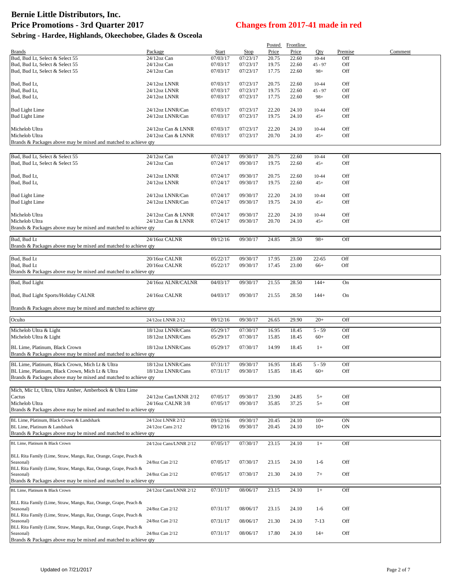|                                                                               |                        |                      |          | Posted         | <b>Frontline</b> |           |            |         |
|-------------------------------------------------------------------------------|------------------------|----------------------|----------|----------------|------------------|-----------|------------|---------|
| <b>Brands</b>                                                                 | Package                | Start                | Stop     | Price          | Price            | Qty       | Premise    | Comment |
| Bud, Bud Lt, Select & Select 55                                               | 24/12oz Can            | 07/03/17             | 07/23/17 | 20.75          | 22.60            | $10 - 44$ | Off        |         |
| Bud, Bud Lt, Select & Select 55                                               | $24/12$ oz Can         | 07/03/17             | 07/23/17 | 19.75          | 22.60            | $45 - 97$ | Off        |         |
| Bud, Bud Lt, Select & Select 55                                               | $24/12$ oz Can         | 07/03/17             | 07/23/17 | 17.75          | 22.60            | $98+$     | Off        |         |
|                                                                               |                        |                      |          |                |                  |           |            |         |
| Bud, Bud Lt,                                                                  | 24/12oz LNNR           | 07/03/17             | 07/23/17 | 20.75          | 22.60            | $10 - 44$ | Off        |         |
| Bud, Bud Lt,<br>Bud, Bud Lt,                                                  | 24/12oz LNNR           | 07/03/17<br>07/03/17 | 07/23/17 | 19.75<br>17.75 | 22.60            | $45 - 97$ | Off        |         |
|                                                                               | 24/12oz LNNR           |                      | 07/23/17 |                | 22.60            | $98+$     | Off        |         |
| <b>Bud Light Lime</b>                                                         | 24/12oz LNNR/Can       | 07/03/17             | 07/23/17 | 22.20          | 24.10            | $10 - 44$ | Off        |         |
| <b>Bud Light Lime</b>                                                         | 24/12oz LNNR/Can       | 07/03/17             | 07/23/17 | 19.75          | 24.10            | $45+$     | Off        |         |
|                                                                               |                        |                      |          |                |                  |           |            |         |
| Michelob Ultra                                                                | 24/12oz Can & LNNR     | 07/03/17             | 07/23/17 | 22.20          | 24.10            | 10-44     | Off        |         |
| Michelob Ultra                                                                | 24/12oz Can & LNNR     | 07/03/17             | 07/23/17 | 20.70          | 24.10            | $45+$     | Off        |         |
| Brands & Packages above may be mixed and matched to achieve qty               |                        |                      |          |                |                  |           |            |         |
|                                                                               |                        |                      |          |                |                  |           |            |         |
| Bud, Bud Lt, Select & Select 55                                               | 24/12oz Can            | 07/24/17             | 09/30/17 | 20.75          | 22.60            | 10-44     | Off        |         |
| Bud, Bud Lt, Select & Select 55                                               | 24/12oz Can            | 07/24/17             | 09/30/17 | 19.75          | 22.60            | $45+$     | Off        |         |
|                                                                               |                        |                      |          |                |                  |           |            |         |
| Bud, Bud Lt,                                                                  | 24/12oz LNNR           | 07/24/17             | 09/30/17 | 20.75          | 22.60            | 10-44     | Off        |         |
| Bud, Bud Lt,                                                                  | 24/12oz LNNR           | 07/24/17             | 09/30/17 | 19.75          | 22.60            | $45+$     | Off        |         |
|                                                                               |                        |                      |          |                |                  |           |            |         |
| <b>Bud Light Lime</b>                                                         | 24/12oz LNNR/Can       | 07/24/17             | 09/30/17 | 22.20          | 24.10            | 10-44     | Off        |         |
| <b>Bud Light Lime</b>                                                         | 24/12oz LNNR/Can       | 07/24/17             | 09/30/17 | 19.75          | 24.10            | $45+$     | Off        |         |
|                                                                               |                        |                      |          |                |                  |           |            |         |
| Michelob Ultra<br>Michelob Ultra                                              | 24/12oz Can & LNNR     | 07/24/17             | 09/30/17 | 22.20          | 24.10            | $10 - 44$ | Off<br>Off |         |
| Brands & Packages above may be mixed and matched to achieve qty               | 24/12oz Can & LNNR     | 07/24/17             | 09/30/17 | 20.70          | 24.10            | $45+$     |            |         |
|                                                                               |                        |                      |          |                |                  |           |            |         |
| Bud, Bud Lt                                                                   | 24/16oz CALNR          | 09/12/16             | 09/30/17 | 24.85          | 28.50            | $98+$     | Off        |         |
| Brands & Packages above may be mixed and matched to achieve qty               |                        |                      |          |                |                  |           |            |         |
|                                                                               |                        |                      |          |                |                  |           |            |         |
| Bud, Bud Lt                                                                   | 20/16oz CALNR          | 05/22/17             | 09/30/17 | 17.95          | 23.00            | 22-65     | Off        |         |
| Bud, Bud Lt                                                                   | 20/16oz CALNR          | 05/22/17             | 09/30/17 | 17.45          | 23.00            | $66+$     | Off        |         |
| Brands & Packages above may be mixed and matched to achieve qty               |                        |                      |          |                |                  |           |            |         |
| Bud, Bud Light                                                                | 24/16oz ALNR/CALNR     | 04/03/17             | 09/30/17 | 21.55          | 28.50            | $144+$    | On         |         |
|                                                                               |                        |                      |          |                |                  |           |            |         |
| Bud, Bud Light Sports/Holiday CALNR                                           | 24/16oz CALNR          | 04/03/17             | 09/30/17 | 21.55          | 28.50            | $144+$    | On         |         |
|                                                                               |                        |                      |          |                |                  |           |            |         |
| Brands & Packages above may be mixed and matched to achieve qty               |                        |                      |          |                |                  |           |            |         |
| Oculto                                                                        | 24/12oz LNNR 2/12      | 09/12/16             | 09/30/17 | 26.65          | 29.90            | $20+$     | Off        |         |
|                                                                               |                        |                      |          |                |                  |           |            |         |
| Michelob Ultra & Light                                                        | 18/12oz LNNR/Cans      | 05/29/17             | 07/30/17 | 16.95          | 18.45            | $5 - 59$  | Off        |         |
| Michelob Ultra & Light                                                        | 18/12oz LNNR/Cans      | 05/29/17             | 07/30/17 | 15.85          | 18.45            | $60+$     | Off        |         |
| BL Lime, Platinum, Black Crown                                                | 18/12oz LNNR/Cans      | 05/29/17             | 07/30/17 | 14.99          | 18.45            | $1+$      | Off        |         |
| Brands & Packages above may be mixed and matched to achieve qty               |                        |                      |          |                |                  |           |            |         |
|                                                                               |                        |                      |          |                |                  |           |            |         |
| BL Lime, Platinum, Black Crown, Mich Lt & Ultra                               | 18/12oz LNNR/Cans      | 07/31/17             | 09/30/17 | 16.95          | 18.45            | $5 - 59$  | Off        |         |
| BL Lime, Platinum, Black Crown, Mich Lt & Ultra                               | 18/12oz LNNR/Cans      | 07/31/17             | 09/30/17 | 15.85          | 18.45            | $60+$     | Off        |         |
| Brands & Packages above may be mixed and matched to achieve qty               |                        |                      |          |                |                  |           |            |         |
| Mich, Mic Lt, Ultra, Ultra Amber, Amberbock & Ultra Lime                      |                        |                      |          |                |                  |           |            |         |
| Cactus                                                                        | 24/12oz Can/LNNR 2/12  | 07/05/17             | 09/30/17 | 23.90          | 24.85            | $5+$      | Off        |         |
| Michelob Ultra                                                                | 24/16oz CALNR 3/8      | 07/05/17             | 09/30/17 | 35.85          | 37.25            | $5+$      | Off        |         |
| Brands & Packages above may be mixed and matched to achieve qty               |                        |                      |          |                |                  |           |            |         |
|                                                                               |                        |                      |          |                |                  |           |            |         |
| BL Lime, Platinum, Black Crown & Landshark                                    | 24/12oz LNNR 2/12      | 09/12/16             | 09/30/17 | 20.45          | 24.10            | $10+$     | ON         |         |
| BL Lime. Platinum & Landshark                                                 | 24/12oz Cans 2/12      | 09/12/16             | 09/30/17 | 20.45          | 24.10            | $10+$     | ON         |         |
| Brands & Packages above may be mixed and matched to achieve qty               |                        |                      |          |                |                  |           |            |         |
| BL Lime, Platinum & Black Crown                                               | 24/12oz Cans/LNNR 2/12 | 07/05/17             | 07/30/17 | 23.15          | 24.10            | $1+$      | Off        |         |
|                                                                               |                        |                      |          |                |                  |           |            |         |
| BLL Rita Family (Lime, Straw, Mango, Raz, Orange, Grape, Peach &              |                        |                      |          |                |                  |           |            |         |
| Seasonal)<br>BLL Rita Family (Lime, Straw, Mango, Raz, Orange, Grape, Peach & | 24/8oz Can 2/12        | 07/05/17             | 07/30/17 | 23.15          | 24.10            | $1-6$     | Off        |         |
| Seasonal)                                                                     | 24/8oz Can 2/12        | 07/05/17             | 07/30/17 | 21.30          | 24.10            | $7+$      | Off        |         |
| Brands & Packages above may be mixed and matched to achieve qty               |                        |                      |          |                |                  |           |            |         |
|                                                                               |                        |                      |          |                |                  |           |            |         |
| BL Lime, Platinum & Black Crown                                               | 24/12oz Cans/LNNR 2/12 | 07/31/17             | 08/06/17 | 23.15          | 24.10            | $1+$      | Off        |         |
| BLL Rita Family (Lime, Straw, Mango, Raz, Orange, Grape, Peach &              |                        |                      |          |                |                  |           |            |         |
| Seasonal)                                                                     | 24/8oz Can 2/12        | 07/31/17             | 08/06/17 | 23.15          | 24.10            | $1-6$     | Off        |         |
| BLL Rita Family (Lime, Straw, Mango, Raz, Orange, Grape, Peach &              |                        |                      |          |                |                  |           |            |         |
| Seasonal)                                                                     | 24/8oz Can 2/12        | 07/31/17             | 08/06/17 | 21.30          | 24.10            | $7 - 13$  | Off        |         |
| BLL Rita Family (Lime, Straw, Mango, Raz, Orange, Grape, Peach &              |                        |                      |          |                |                  |           |            |         |
| Seasonal)                                                                     | 24/8oz Can 2/12        | 07/31/17             | 08/06/17 | 17.80          | 24.10            | $14+$     | Off        |         |
| Brands & Packages above may be mixed and matched to achieve qty               |                        |                      |          |                |                  |           |            |         |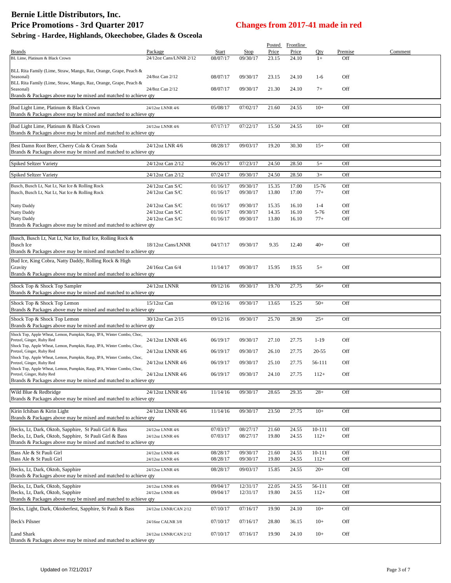# **Bernie Little Distributors, Inc. Price Promotions - 3rd Quarter 2017 Changes from 2017-41 made in red**

|                                                                                |                        |          |          | Posted | <b>Frontline</b> |            |         |         |  |
|--------------------------------------------------------------------------------|------------------------|----------|----------|--------|------------------|------------|---------|---------|--|
| <b>Brands</b>                                                                  | Package                | Start    | Stop     | Price  | Price            | Qty        | Premise | Comment |  |
| BL Lime. Platinum & Black Crown                                                | 24/12oz Cans/LNNR 2/12 | 08/07/17 | 09/30/17 | 23.15  | 24.10            | $1+$       | Off     |         |  |
|                                                                                |                        |          |          |        |                  |            |         |         |  |
| BLL Rita Family (Lime, Straw, Mango, Raz, Orange, Grape, Peach &               |                        |          |          |        |                  |            |         |         |  |
| Seasonal)                                                                      | 24/8oz Can 2/12        | 08/07/17 | 09/30/17 | 23.15  | 24.10            | $1-6$      | Off     |         |  |
| BLL Rita Family (Lime, Straw, Mango, Raz, Orange, Grape, Peach &               |                        |          |          |        |                  |            |         |         |  |
| Seasonal)                                                                      | 24/8oz Can 2/12        | 08/07/17 | 09/30/17 | 21.30  | 24.10            | $7+$       | Off     |         |  |
| Brands & Packages above may be mixed and matched to achieve qty                |                        |          |          |        |                  |            |         |         |  |
| Bud Light Lime, Platinum & Black Crown                                         |                        | 05/08/17 | 07/02/17 | 21.60  | 24.55            | $10+$      | Off     |         |  |
| Brands & Packages above may be mixed and matched to achieve qty                | 24/12oz LNNR 4/6       |          |          |        |                  |            |         |         |  |
|                                                                                |                        |          |          |        |                  |            |         |         |  |
| Bud Light Lime, Platinum & Black Crown                                         | 24/12oz LNNR 4/6       | 07/17/17 | 07/22/17 | 15.50  | 24.55            | $10+$      | Off     |         |  |
| Brands & Packages above may be mixed and matched to achieve qty                |                        |          |          |        |                  |            |         |         |  |
|                                                                                |                        |          |          |        |                  |            |         |         |  |
| Best Damn Root Beer, Cherry Cola & Cream Soda                                  | 24/12oz LNR 4/6        | 08/28/17 | 09/03/17 | 19.20  | 30.30            | $15+$      | Off     |         |  |
| Brands & Packages above may be mixed and matched to achieve qty                |                        |          |          |        |                  |            |         |         |  |
|                                                                                |                        |          |          |        |                  |            |         |         |  |
| Spiked Seltzer Variety                                                         | 24/12oz Can 2/12       | 06/26/17 | 07/23/17 | 24.50  | 28.50            | $5+$       | Off     |         |  |
|                                                                                |                        |          |          |        |                  |            |         |         |  |
| Spiked Seltzer Variety                                                         | 24/12oz Can 2/12       | 07/24/17 | 09/30/17 | 24.50  | 28.50            | $3+$       | Off     |         |  |
| Busch, Busch Lt, Nat Lt, Nat Ice & Rolling Rock                                | 24/12oz Can S/C        | 01/16/17 | 09/30/17 | 15.35  | 17.00            | 15-76      | Off     |         |  |
| Busch, Busch Lt, Nat Lt, Nat Ice & Rolling Rock                                | $24/12$ oz Can S/C     | 01/16/17 | 09/30/17 | 13.80  | 17.00            | $77+$      | Off     |         |  |
|                                                                                |                        |          |          |        |                  |            |         |         |  |
| Natty Daddy                                                                    | $24/12$ oz Can S/C     | 01/16/17 | 09/30/17 | 15.35  | 16.10            | $1 - 4$    | Off     |         |  |
|                                                                                | $24/12$ oz Can S/C     | 01/16/17 | 09/30/17 | 14.35  | 16.10            | 5-76       | Off     |         |  |
| Natty Daddy                                                                    |                        |          |          |        |                  |            | Off     |         |  |
| Natty Daddy<br>Brands & Packages above may be mixed and matched to achieve qty | $24/12$ oz Can S/C     | 01/16/17 | 09/30/17 | 13.80  | 16.10            | $77+$      |         |         |  |
|                                                                                |                        |          |          |        |                  |            |         |         |  |
|                                                                                |                        |          |          |        |                  |            |         |         |  |
| Busch, Busch Lt, Nat Lt, Nat Ice, Bud Ice, Rolling Rock &                      |                        |          |          |        |                  |            |         |         |  |
| <b>Busch Ice</b>                                                               | 18/12oz Cans/LNNR      | 04/17/17 | 09/30/17 | 9.35   | 12.40            | $40+$      | Off     |         |  |
| Brands & Packages above may be mixed and matched to achieve qty                |                        |          |          |        |                  |            |         |         |  |
| Bud Ice, King Cobra, Natty Daddy, Rolling Rock & High                          |                        |          |          |        |                  |            |         |         |  |
| Gravity                                                                        | 24/16oz Can 6/4        | 11/14/17 | 09/30/17 | 15.95  | 19.55            | $5+$       | Off     |         |  |
| Brands & Packages above may be mixed and matched to achieve qty                |                        |          |          |        |                  |            |         |         |  |
|                                                                                |                        |          |          |        |                  |            |         |         |  |
| Shock Top & Shock Top Sampler                                                  | 24/12oz LNNR           | 09/12/16 | 09/30/17 | 19.70  | 27.75            | $56+$      | Off     |         |  |
| Brands & Packages above may be mixed and matched to achieve qty                |                        |          |          |        |                  |            |         |         |  |
|                                                                                |                        |          |          |        |                  |            |         |         |  |
| Shock Top & Shock Top Lemon                                                    | $15/12$ oz Can         | 09/12/16 | 09/30/17 | 13.65  | 15.25            | $50+$      | Off     |         |  |
| Brands & Packages above may be mixed and matched to achieve qty                |                        |          |          |        |                  |            |         |         |  |
| Shock Top & Shock Top Lemon                                                    | 30/12oz Can 2/15       | 09/12/16 | 09/30/17 | 25.70  | 28.90            | $25+$      | Off     |         |  |
| Brands & Packages above may be mixed and matched to achieve qty                |                        |          |          |        |                  |            |         |         |  |
| Shock Top, Apple Wheat, Lemon, Pumpkin, Rasp, IPA, Winter Combo, Choc,         |                        |          |          |        |                  |            |         |         |  |
| Pretzel, Ginger, Ruby Red                                                      | 24/12oz LNNR 4/6       | 06/19/17 | 09/30/17 | 27.10  | 27.75            | $1-19$     | Off     |         |  |
| Shock Top, Apple Wheat, Lemon, Pumpkin, Rasp, IPA, Winter Combo, Choc,         |                        |          |          |        |                  |            |         |         |  |
| Pretzel, Ginger, Ruby Red                                                      | 24/12oz LNNR 4/6       | 06/19/17 | 09/30/17 | 26.10  | 27.75            | 20-55      | Off     |         |  |
| Shock Top, Apple Wheat, Lemon, Pumpkin, Rasp, IPA, Winter Combo, Choc,         |                        |          |          |        |                  |            |         |         |  |
| Pretzel, Ginger, Ruby Red                                                      | 24/12oz LNNR 4/6       | 06/19/17 | 09/30/17 | 25.10  | 27.75            | 56-111     | Off     |         |  |
| Shock Top, Apple Wheat, Lemon, Pumpkin, Rasp, IPA, Winter Combo, Choc,         |                        |          |          |        |                  |            |         |         |  |
| Pretzel, Ginger, Ruby Red                                                      | 24/12oz LNNR 4/6       | 06/19/17 | 09/30/17 | 24.10  | 27.75            | $112+$     | Off     |         |  |
| Brands & Packages above may be mixed and matched to achieve qty                |                        |          |          |        |                  |            |         |         |  |
| Wild Blue & Redbridge                                                          | 24/12oz LNNR 4/6       | 11/14/16 | 09/30/17 | 28.65  | 29.35            | $28+$      | Off     |         |  |
| Brands & Packages above may be mixed and matched to achieve qty                |                        |          |          |        |                  |            |         |         |  |
|                                                                                |                        |          |          |        |                  |            |         |         |  |
| Kirin Ichiban & Kirin Light                                                    | 24/12oz LNNR 4/6       | 11/14/16 | 09/30/17 | 23.50  | 27.75            | $10+$      | Off     |         |  |
| Brands & Packages above may be mixed and matched to achieve qty                |                        |          |          |        |                  |            |         |         |  |
|                                                                                |                        |          |          |        |                  |            |         |         |  |
| Becks, Lt, Dark, Oktob, Sapphire, St Pauli Girl & Bass                         | 24/12oz LNNR 4/6       | 07/03/17 | 08/27/17 | 21.60  | 24.55            | 10-111     | Off     |         |  |
| Becks, Lt, Dark, Oktob, Sapphire, St Pauli Girl & Bass                         | 24/12oz LNNR 4/6       | 07/03/17 | 08/27/17 | 19.80  | 24.55            | $112+$     | Off     |         |  |
| Brands & Packages above may be mixed and matched to achieve qty                |                        |          |          |        |                  |            |         |         |  |
|                                                                                |                        |          |          |        |                  |            |         |         |  |
| Bass Ale & St Pauli Girl                                                       | 24/12oz LNNR 4/6       | 08/28/17 | 09/30/17 | 21.60  | 24.55            | $10 - 111$ | Off     |         |  |
| Bass Ale & St Pauli Girl                                                       | 24/12oz LNNR 4/6       | 08/28/17 | 09/30/17 | 19.80  | 24.55            | $112+$     | Off     |         |  |
| Becks, Lt, Dark, Oktob, Sapphire                                               | 24/12oz LNNR 4/6       | 08/28/17 | 09/03/17 | 15.85  | 24.55            | $20+$      | Off     |         |  |
| Brands & Packages above may be mixed and matched to achieve qty                |                        |          |          |        |                  |            |         |         |  |
|                                                                                |                        |          |          |        |                  |            |         |         |  |
| Becks, Lt, Dark, Oktob, Sapphire                                               | 24/12oz LNNR 4/6       | 09/04/17 | 12/31/17 | 22.05  | 24.55            | 56-111     | Off     |         |  |
| Becks, Lt, Dark, Oktob, Sapphire                                               | 24/12oz LNNR 4/6       | 09/04/17 | 12/31/17 | 19.80  | 24.55            | $112+$     | Off     |         |  |
| Brands & Packages above may be mixed and matched to achieve qty                |                        |          |          |        |                  |            |         |         |  |
| Becks, Light, Dark, Oktoberfest, Sapphire, St Pauli & Bass                     |                        | 07/10/17 | 07/16/17 | 19.90  | 24.10            | $10+$      | Off     |         |  |
|                                                                                | 24/12oz LNNR/CAN 2/12  |          |          |        |                  |            |         |         |  |
| Beck's Pilsner                                                                 | 24/16oz CALNR 3/8      | 07/10/17 | 07/16/17 | 28.80  | 36.15            | $10+$      | Off     |         |  |
|                                                                                |                        |          |          |        |                  |            |         |         |  |
| Land Shark                                                                     | 24/12oz LNNR/CAN 2/12  | 07/10/17 | 07/16/17 | 19.90  | 24.10            | $10+$      | Off     |         |  |
| Brands & Packages above may be mixed and matched to achieve qty                |                        |          |          |        |                  |            |         |         |  |
|                                                                                |                        |          |          |        |                  |            |         |         |  |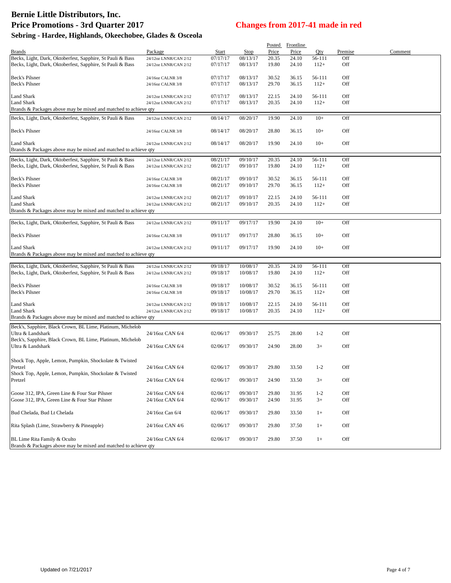# **Bernie Little Distributors, Inc. Price Promotions - 3rd Quarter 2017 Changes from 2017-41 made in red**

| Sebring - Hardee, Highlands, Okeechobee, Glades & Osceola |  |  |  |  |
|-----------------------------------------------------------|--|--|--|--|
|-----------------------------------------------------------|--|--|--|--|

|                                                                                 |                       |          |             | <b>Posted</b> | <b>Frontline</b> |         |         |         |
|---------------------------------------------------------------------------------|-----------------------|----------|-------------|---------------|------------------|---------|---------|---------|
| <b>Brands</b>                                                                   | Package               | Start    | <b>Stop</b> | Price         | Price            | Qty     | Premise | Comment |
| Becks, Light, Dark, Oktoberfest, Sapphire, St Pauli & Bass                      | 24/12oz LNNR/CAN 2/12 | 07/17/17 | 08/13/17    | 20.35         | 24.10            | 56-111  | Off     |         |
| Becks, Light, Dark, Oktoberfest, Sapphire, St Pauli & Bass                      | 24/12oz LNNR/CAN 2/12 | 07/17/17 | 08/13/17    | 19.80         | 24.10            | $112+$  | Off     |         |
|                                                                                 |                       |          |             |               |                  |         |         |         |
| Beck's Pilsner                                                                  | 24/16oz CALNR 3/8     | 07/17/17 | 08/13/17    | 30.52         | 36.15            | 56-111  | Off     |         |
| Beck's Pilsner                                                                  |                       |          |             |               |                  |         |         |         |
|                                                                                 | 24/16oz CALNR 3/8     | 07/17/17 | 08/13/17    | 29.70         | 36.15            | $112+$  | Off     |         |
| <b>Land Shark</b>                                                               | 24/12oz LNNR/CAN 2/12 | 07/17/17 | 08/13/17    | 22.15         | 24.10            | 56-111  | Off     |         |
| Land Shark                                                                      |                       | 07/17/17 | 08/13/17    | 20.35         | 24.10            | $112+$  | Off     |         |
|                                                                                 | 24/12oz LNNR/CAN 2/12 |          |             |               |                  |         |         |         |
| Brands & Packages above may be mixed and matched to achieve qty                 |                       |          |             |               |                  |         |         |         |
| Becks, Light, Dark, Oktoberfest, Sapphire, St Pauli & Bass                      | 24/12oz LNNR/CAN 2/12 | 08/14/17 | 08/20/17    | 19.90         | 24.10            | $10+$   | Off     |         |
|                                                                                 |                       |          |             |               |                  |         |         |         |
| Beck's Pilsner                                                                  | 24/16oz CALNR 3/8     | 08/14/17 | 08/20/17    | 28.80         | 36.15            | $10+$   | Off     |         |
|                                                                                 |                       |          |             |               |                  |         |         |         |
| <b>Land Shark</b>                                                               | 24/12oz LNNR/CAN 2/12 | 08/14/17 | 08/20/17    | 19.90         | 24.10            | $10+$   | Off     |         |
| Brands & Packages above may be mixed and matched to achieve qty                 |                       |          |             |               |                  |         |         |         |
|                                                                                 |                       |          |             |               |                  |         |         |         |
| Becks, Light, Dark, Oktoberfest, Sapphire, St Pauli & Bass                      | 24/12oz LNNR/CAN 2/12 | 08/21/17 | 09/10/17    | 20.35         | 24.10            | 56-111  | Off     |         |
| Becks, Light, Dark, Oktoberfest, Sapphire, St Pauli & Bass                      | 24/12oz LNNR/CAN 2/12 | 08/21/17 | 09/10/17    | 19.80         | 24.10            | $112+$  | Off     |         |
|                                                                                 |                       |          |             |               |                  |         |         |         |
| <b>Beck's Pilsner</b>                                                           | 24/16oz CALNR 3/8     | 08/21/17 | 09/10/17    | 30.52         | 36.15            | 56-111  | Off     |         |
| <b>Beck's Pilsner</b>                                                           | 24/16oz CALNR 3/8     | 08/21/17 | 09/10/17    | 29.70         | 36.15            | $112+$  | Off     |         |
|                                                                                 |                       |          |             |               |                  |         |         |         |
| Land Shark                                                                      | 24/12oz LNNR/CAN 2/12 | 08/21/17 | 09/10/17    | 22.15         | 24.10            | 56-111  | Off     |         |
| <b>Land Shark</b>                                                               | 24/12oz LNNR/CAN 2/12 | 08/21/17 | 09/10/17    | 20.35         | 24.10            | $112+$  | Off     |         |
| Brands & Packages above may be mixed and matched to achieve qty                 |                       |          |             |               |                  |         |         |         |
|                                                                                 |                       |          |             |               |                  |         |         |         |
| Becks, Light, Dark, Oktoberfest, Sapphire, St Pauli & Bass                      | 24/12oz LNNR/CAN 2/12 | 09/11/17 | 09/17/17    | 19.90         | 24.10            | $10+$   | Off     |         |
|                                                                                 |                       |          |             |               |                  |         |         |         |
| Beck's Pilsner                                                                  | 24/16oz CALNR 3/8     | 09/11/17 | 09/17/17    | 28.80         | 36.15            | $10+$   | Off     |         |
|                                                                                 |                       |          |             |               |                  |         |         |         |
| <b>Land Shark</b>                                                               | 24/12oz LNNR/CAN 2/12 | 09/11/17 | 09/17/17    | 19.90         | 24.10            | $10+$   | Off     |         |
|                                                                                 |                       |          |             |               |                  |         |         |         |
| Brands & Packages above may be mixed and matched to achieve qty                 |                       |          |             |               |                  |         |         |         |
| Becks, Light, Dark, Oktoberfest, Sapphire, St Pauli & Bass                      | 24/12oz LNNR/CAN 2/12 | 09/18/17 | 10/08/17    | 20.35         | 24.10            | 56-111  | Off     |         |
|                                                                                 |                       |          |             |               |                  |         |         |         |
| Becks, Light, Dark, Oktoberfest, Sapphire, St Pauli & Bass                      | 24/12oz LNNR/CAN 2/12 | 09/18/17 | 10/08/17    | 19.80         | 24.10            | $112+$  | Off     |         |
|                                                                                 |                       |          |             |               |                  |         |         |         |
| Beck's Pilsner                                                                  | 24/16oz CALNR 3/8     | 09/18/17 | 10/08/17    | 30.52         | 36.15            | 56-111  | Off     |         |
| Beck's Pilsner                                                                  | 24/16oz CALNR 3/8     | 09/18/17 | 10/08/17    | 29.70         | 36.15            | $112+$  | Off     |         |
|                                                                                 |                       |          |             |               |                  |         |         |         |
| Land Shark                                                                      | 24/12oz LNNR/CAN 2/12 | 09/18/17 | 10/08/17    | 22.15         | 24.10            | 56-111  | Off     |         |
| Land Shark                                                                      | 24/12oz LNNR/CAN 2/12 | 09/18/17 | 10/08/17    | 20.35         | 24.10            | $112+$  | Off     |         |
| Brands & Packages above may be mixed and matched to achieve qty                 |                       |          |             |               |                  |         |         |         |
| Beck's, Sapphire, Black Crown, BL Lime, Platinum, Michelob                      |                       |          |             |               |                  |         |         |         |
|                                                                                 | 24/16oz CAN 6/4       |          |             |               |                  |         |         |         |
| Ultra & Landshark<br>Beck's, Sapphire, Black Crown, BL Lime, Platinum, Michelob |                       | 02/06/17 | 09/30/17    | 25.75         | 28.00            | $1 - 2$ | Off     |         |
|                                                                                 |                       |          |             |               |                  |         |         |         |
| Ultra & Landshark                                                               | 24/16oz CAN 6/4       | 02/06/17 | 09/30/17    | 24.90         | 28.00            | $3+$    | Off     |         |
|                                                                                 |                       |          |             |               |                  |         |         |         |
| Shock Top, Apple, Lemon, Pumpkin, Shockolate & Twisted                          |                       |          |             |               |                  |         |         |         |
| Pretzel                                                                         | 24/16oz CAN 6/4       | 02/06/17 | 09/30/17    | 29.80         | 33.50            | $1 - 2$ | Off     |         |
| Shock Top, Apple, Lemon, Pumpkin, Shockolate & Twisted                          |                       |          |             |               |                  |         |         |         |
| Pretzel                                                                         | 24/16oz CAN 6/4       | 02/06/17 | 09/30/17    | 24.90         | 33.50            | $3+$    | Off     |         |
|                                                                                 |                       |          |             |               |                  |         |         |         |
| Goose 312, IPA, Green Line & Four Star Pilsner                                  | 24/16oz CAN 6/4       | 02/06/17 | 09/30/17    | 29.80         | 31.95            | $1 - 2$ | Off     |         |
| Goose 312, IPA, Green Line & Four Star Pilsner                                  | 24/16oz CAN 6/4       | 02/06/17 |             | 24.90         | 31.95            |         | Off     |         |
|                                                                                 |                       |          | 09/30/17    |               |                  | $3+$    |         |         |
|                                                                                 |                       |          |             |               |                  |         |         |         |
| Bud Chelada, Bud Lt Chelada                                                     | 24/16oz Can 6/4       | 02/06/17 | 09/30/17    | 29.80         | 33.50            | $1+$    | Off     |         |
|                                                                                 |                       |          |             |               |                  |         |         |         |
| Rita Splash (Lime, Strawberry & Pineapple)                                      | 24/16oz CAN 4/6       | 02/06/17 | 09/30/17    | 29.80         | 37.50            | $1+$    | Off     |         |
|                                                                                 |                       |          |             |               |                  |         |         |         |
| BL Lime Rita Family & Oculto                                                    | 24/16oz CAN 6/4       | 02/06/17 | 09/30/17    | 29.80         | 37.50            | $1+$    | Off     |         |
| Brands & Packages above may be mixed and matched to achieve qty                 |                       |          |             |               |                  |         |         |         |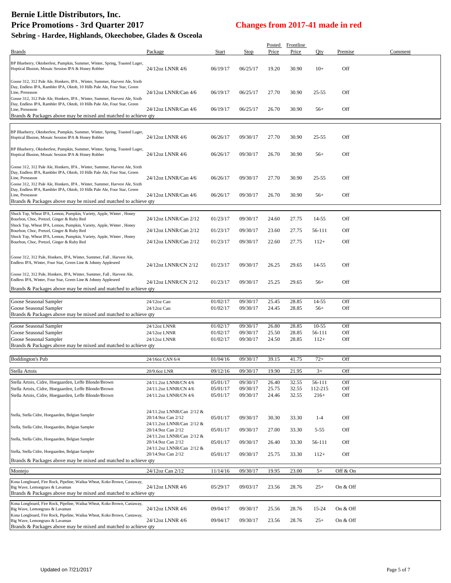| Sebring - Haruee, Higmanus, Okeechobee, Glaues & Osceola                                                                                                                                                                                                                                                                            |                                                 |                      |                      |                |                           |                 |            |         |
|-------------------------------------------------------------------------------------------------------------------------------------------------------------------------------------------------------------------------------------------------------------------------------------------------------------------------------------|-------------------------------------------------|----------------------|----------------------|----------------|---------------------------|-----------------|------------|---------|
| <b>Brands</b>                                                                                                                                                                                                                                                                                                                       | Package                                         | Start                | Stop                 | Price          | Posted Frontline<br>Price | Qty             | Premise    | Comment |
| BP Blueberry, Oktoberfest, Pumpkin, Summer, Winter, Spring, Toasted Lager,<br>Hoptical Illusion, Mosaic Session IPA & Honey Robber                                                                                                                                                                                                  | 24/12oz LNNR 4/6                                | 06/19/17             | 06/25/17             | 19.20          | 30.90                     | $10+$           | Off        |         |
| Goose 312, 312 Pale Ale, Honkers, IPA, Winter, Summer, Harvest Ale, Sixth<br>Day, Endless IPA, Rambler IPA, Oktob, 10 Hills Pale Ale, Four Star, Green<br>Line, Preseason<br>Goose 312, 312 Pale Ale, Honkers, IPA, Winter, Summer, Harvest Ale, Sixth                                                                              | 24/12oz LNNR/Can 4/6                            | 06/19/17             | 06/25/17             | 27.70          | 30.90                     | $25 - 55$       | Off        |         |
| Day, Endless IPA, Rambler IPA, Oktob, 10 Hills Pale Ale, Four Star, Green<br>Line, Preseason<br>Brands & Packages above may be mixed and matched to achieve qty                                                                                                                                                                     | 24/12oz LNNR/Can 4/6                            | 06/19/17             | 06/25/17             | 26.70          | 30.90                     | $56+$           | Off        |         |
|                                                                                                                                                                                                                                                                                                                                     |                                                 |                      |                      |                |                           |                 |            |         |
| BP Blueberry, Oktoberfest, Pumpkin, Summer, Winter, Spring, Toasted Lager,<br>Hoptical Illusion, Mosaic Session IPA & Honey Robber                                                                                                                                                                                                  | 24/12oz LNNR 4/6                                | 06/26/17             | 09/30/17             | 27.70          | 30.90                     | $25 - 55$       | Off        |         |
| BP Blueberry, Oktoberfest, Pumpkin, Summer, Winter, Spring, Toasted Lager,<br>Hoptical Illusion, Mosaic Session IPA & Honey Robber                                                                                                                                                                                                  | 24/12oz LNNR 4/6                                | 06/26/17             | 09/30/17             | 26.70          | 30.90                     | $56+$           | Off        |         |
| Goose 312, 312 Pale Ale, Honkers, IPA, Winter, Summer, Harvest Ale, Sixth<br>Day, Endless IPA, Rambler IPA, Oktob, 10 Hills Pale Ale, Four Star, Green<br>Line, Preseason<br>Goose 312, 312 Pale Ale, Honkers, IPA, Winter, Summer, Harvest Ale, Sixth<br>Day, Endless IPA, Rambler IPA, Oktob, 10 Hills Pale Ale, Four Star, Green | 24/12oz LNNR/Can 4/6                            | 06/26/17             | 09/30/17             | 27.70          | 30.90                     | $25 - 55$       | Off        |         |
| Line, Preseason<br>Brands & Packages above may be mixed and matched to achieve qty                                                                                                                                                                                                                                                  | 24/12oz LNNR/Can 4/6                            | 06/26/17             | 09/30/17             | 26.70          | 30.90                     | $56+$           | Off        |         |
| Shock Top, Wheat IPA, Lemon, Pumpkin, Variety, Apple, Winter, Honey                                                                                                                                                                                                                                                                 |                                                 |                      |                      |                |                           |                 |            |         |
| Bourbon, Choc, Pretzel, Ginger & Ruby Red<br>Shock Top, Wheat IPA, Lemon, Pumpkin, Variety, Apple, Winter, Honey<br>Bourbon, Choc, Pretzel, Ginger & Ruby Red                                                                                                                                                                       | 24/12oz LNNR/Can 2/12<br>24/12oz LNNR/Can 2/12  | 01/23/17<br>01/23/17 | 09/30/17<br>09/30/17 | 24.60<br>23.60 | 27.75<br>27.75            | 14-55<br>56-111 | Off<br>Off |         |
| Shock Top, Wheat IPA, Lemon, Pumpkin, Variety, Apple, Winter, Honey<br>Bourbon, Choc, Pretzel, Ginger & Ruby Red                                                                                                                                                                                                                    | 24/12oz LNNR/Can 2/12                           | 01/23/17             | 09/30/17             | 22.60          | 27.75                     | $112+$          | Off        |         |
| Goose 312, 312 Pale, Honkers, IPA, Winter, Summer, Fall, Harvest Ale,<br>Endless IPA, Winter, Four Star, Green Line & Johnny Appleseed                                                                                                                                                                                              | 24/12oz LNNR/CN 2/12                            | 01/23/17             | 09/30/17             | 26.25          | 29.65                     | 14-55           | Off        |         |
| Goose 312, 312 Pale, Honkers, IPA, Winter, Summer, Fall, Harvest Ale,<br>Endless IPA, Winter, Four Star, Green Line & Johnny Appleseed                                                                                                                                                                                              | 24/12oz LNNR/CN 2/12                            | 01/23/17             | 09/30/17             | 25.25          | 29.65                     | $56+$           | Off        |         |
| Brands & Packages above may be mixed and matched to achieve qty                                                                                                                                                                                                                                                                     |                                                 |                      |                      |                |                           |                 |            |         |
| Goose Seasonal Sampler                                                                                                                                                                                                                                                                                                              | 24/12oz Can                                     | 01/02/17             | 09/30/17             | 25.45          | 28.85                     | 14-55           | Off        |         |
| Goose Seasonal Sampler                                                                                                                                                                                                                                                                                                              | 24/12oz Can                                     | 01/02/17             | 09/30/17             | 24.45          | 28.85                     | $56+$           | Off        |         |
| Brands & Packages above may be mixed and matched to achieve qty                                                                                                                                                                                                                                                                     |                                                 |                      |                      |                |                           |                 |            |         |
| Goose Seasonal Sampler                                                                                                                                                                                                                                                                                                              | 24/12oz LNNR                                    | 01/02/17             | 09/30/17             | 26.80          | 28.85                     | $10-55$         | Off        |         |
| Goose Seasonal Sampler                                                                                                                                                                                                                                                                                                              | 24/12oz LNNR                                    | 01/02/17             | 09/30/17             | 25.50          | 28.85                     | 56-111          | Off        |         |
| Goose Seasonal Sampler<br>Brands & Packages above may be mixed and matched to achieve qty                                                                                                                                                                                                                                           | 24/12oz LNNR                                    | 01/02/17             | 09/30/17             | 24.50          | 28.85                     | $112+$          | Off        |         |
| <b>Boddington's Pub</b>                                                                                                                                                                                                                                                                                                             | 24/16oz CAN 6/4                                 | 01/04/16             | 09/30/17             | 39.15          | 41.75                     | $72+$           | Off        |         |
| Stella Artois                                                                                                                                                                                                                                                                                                                       | 20/9.6oz LNR                                    | 09/12/16             | 09/30/17             | 19.90          | 21.95                     | $3+$            | Off        |         |
| Stella Artois, Cidre, Hoegaarden, Leffe Blonde/Brown                                                                                                                                                                                                                                                                                | 24/11.2oz LNNR/CN 4/6                           | 05/01/17             | 09/30/17             | 26.40          | 32.55                     | 56-111          | Off        |         |
| Stella Artois, Cidre, Hoegaarden, Leffe Blonde/Brown                                                                                                                                                                                                                                                                                | 24/11.2oz LNNR/CN 4/6                           | 05/01/17             | 09/30/17             | 25.75          | 32.55                     | 112-215         | Off        |         |
| Stella Artois, Cidre, Hoegaarden, Leffe Blonde/Brown                                                                                                                                                                                                                                                                                | 24/11.2oz LNNR/CN 4/6                           | 05/01/17             | 09/30/17             | 24.46          | 32.55                     | $216+$          | Off        |         |
| Stella, Stella Cidre, Hoegaarden, Belgian Sampler                                                                                                                                                                                                                                                                                   | 24/11.2oz LNNR/Can 2/12 &<br>20/14.9oz Can 2/12 | 05/01/17             | 09/30/17             | 30.30          | 33.30                     | $1 - 4$         | Off        |         |
| Stella, Stella Cidre, Hoegaarden, Belgian Sampler                                                                                                                                                                                                                                                                                   | 24/11.2oz LNNR/Can 2/12 &<br>20/14.9oz Can 2/12 | 05/01/17             | 09/30/17             | 27.00          | 33.30                     | $5 - 55$        | Off        |         |
| Stella, Stella Cidre, Hoegaarden, Belgian Sampler                                                                                                                                                                                                                                                                                   | 24/11.2oz LNNR/Can 2/12 &<br>20/14.9oz Can 2/12 | 05/01/17             | 09/30/17             | 26.40          | 33.30                     | 56-111          | Off        |         |
| Stella, Stella Cidre, Hoegaarden, Belgian Sampler                                                                                                                                                                                                                                                                                   | 24/11.2oz LNNR/Can 2/12 &<br>20/14.9oz Can 2/12 | 05/01/17             | 09/30/17             | 25.75          | 33.30                     | $112+$          | Off        |         |
| Brands & Packages above may be mixed and matched to achieve qty                                                                                                                                                                                                                                                                     |                                                 |                      |                      |                |                           |                 |            |         |
| Montejo                                                                                                                                                                                                                                                                                                                             | 24/12oz Can 2/12                                | 11/14/16             | 09/30/17             | 19.95          | 23.00                     | $5+$            | Off & On   |         |
| Kona Longboard, Fire Rock, Pipeline, Wailua Wheat, Koko Brown, Castaway,<br>Big Wave, Lemongrass & Lavaman                                                                                                                                                                                                                          | 24/12oz LNNR 4/6                                | 05/29/17             | 09/03/17             | 23.56          | 28.76                     | $25+$           | On & Off   |         |
| Brands & Packages above may be mixed and matched to achieve qty                                                                                                                                                                                                                                                                     |                                                 |                      |                      |                |                           |                 |            |         |
| Kona Longboard, Fire Rock, Pipeline, Wailua Wheat, Koko Brown, Castaway,                                                                                                                                                                                                                                                            |                                                 |                      |                      |                |                           |                 |            |         |

Big Wave, Lemongrass & Lavaman 24/12oz LNNR 4/6 09/04/17 09/30/17 25.56 28.76 15-24 On & Off Kona Longboard, Fire Rock, Pipeline, Wailua Wheat, Koko Brown, Castaway, Big Wave, Lemongrass & Lavaman 24/12oz LNNR 4/6 09/04/17 09/30/17 23.56 28.76 25+ On & Off Brands & Packages above may be mixed and matched to achieve qty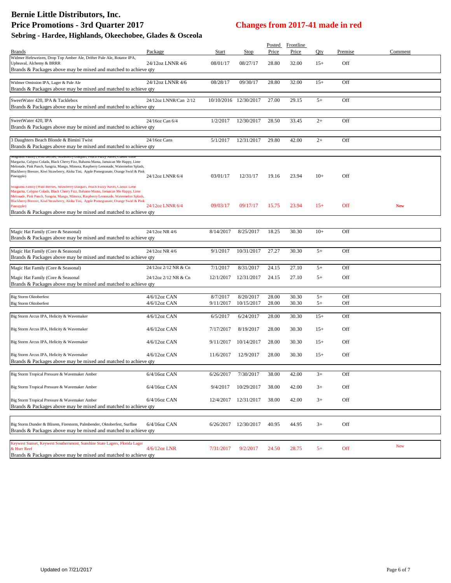| <b>Brands</b>                                                                                                                                                                                                                                                                                                                                                                                                                                 | Package                         | Start                 | Stop                    | Price          | Posted Frontline<br>Price | Qty          | Premise    | Comment    |
|-----------------------------------------------------------------------------------------------------------------------------------------------------------------------------------------------------------------------------------------------------------------------------------------------------------------------------------------------------------------------------------------------------------------------------------------------|---------------------------------|-----------------------|-------------------------|----------------|---------------------------|--------------|------------|------------|
| Widmer Hefeweizen, Drop Top Amber Ale, Drifter Pale Ale, Rotator IPA,<br>Upheaval, Alchemy & BRRR<br>Brands & Packages above may be mixed and matched to achieve qty                                                                                                                                                                                                                                                                          | 24/12oz LNNR 4/6                | 08/01/17              | 08/27/17                | 28.80          | 32.00                     | $15+$        | Off        |            |
| Widmer Omission IPA, Lager & Pale Ale<br>Brands & Packages above may be mixed and matched to achieve qty                                                                                                                                                                                                                                                                                                                                      | 24/12oz LNNR 4/6                | 08/28/17              | 09/30/17                | 28.80          | 32.00                     | $15+$        | Off        |            |
| SweetWater 420, IPA & Tacklebox<br>Brands & Packages above may be mixed and matched to achieve qty                                                                                                                                                                                                                                                                                                                                            | 24/12oz LNNR/Can 2/12           |                       | 10/10/2016 12/30/2017   | 27.00          | 29.15                     | $5+$         | Off        |            |
| SweetWater 420, IPA<br>Brands & Packages above may be mixed and matched to achieve qty                                                                                                                                                                                                                                                                                                                                                        | 24/16oz Can 6/4                 | 1/2/2017              | 12/30/2017              | 28.50          | 33.45                     | $2+$         | Off        |            |
| 3 Daughters Beach Blonde & Bimini Twist<br>Brands & Packages above may be mixed and matched to achieve qty                                                                                                                                                                                                                                                                                                                                    | 24/16oz Cans                    | 5/1/2017              | 12/31/2017              | 29.80          | 42.00                     | $2+$         | Off        |            |
| Margarita, Calypso Colada, Black Cherry Fizz, Bahama Mama, Jamaican Me Happy, Lime<br>Melonade, Pink Punch, Sangria, Mango, Mimosa, Raspberry Lemonade, Watermelon Splash,<br>Blackberry Breezer, Kiwi Strawberry, Aloha Tini, Apple Pomegranate, Orange Swirl & Pink<br>Pineapple)                                                                                                                                                           | 24/12oz LNNR 6/4                | 03/01/17              | 12/31/17                | 19.16          | 23.94                     | $10+$        | Off        |            |
| Seagrams Pamily (Wild Berries, Strawberry Daiquiri, Peach Puzzy Navel, Classic Lime<br>Margarita, Calypso Colada, Black Cherry Fizz, Bahama Mama, Jamaican Me Happy, Lime<br>Melonade, Pink Punch, Sangria, Mango, Mimosa, Raspberry Lemonade, Watermelon Splash,<br>Blackberry Breezer, Kiwi Strawberry, Aloha Tini, Apple Pomegranate, Orange Swirl & Pink<br>Pineapple)<br>Brands & Packages above may be mixed and matched to achieve qty | 24/12oz LNNR 6/4                | 09/03/17              | 09/17/17                | 15.75          | 23.94                     | $15+$        | Off        | <b>New</b> |
| Magic Hat Family (Core & Seasonal)<br>Brands & Packages above may be mixed and matched to achieve qty                                                                                                                                                                                                                                                                                                                                         | 24/12oz NR 4/6                  | 8/14/2017             | 8/25/2017               | 18.25          | 30.30                     | $10+$        | Off        |            |
| Magic Hat Family (Core & Seasonal)<br>Brands & Packages above may be mixed and matched to achieve qty                                                                                                                                                                                                                                                                                                                                         | 24/12oz NR 4/6                  | 9/1/2017              | 10/31/2017              | 27.27          | 30.30                     | $5+$         | Off        |            |
| Magic Hat Family (Core & Seasonal)                                                                                                                                                                                                                                                                                                                                                                                                            | 24/12oz 2/12 NR & Cn            | 7/1/2017              | 8/31/2017               | 24.15          | 27.10                     | $5+$         | Off        |            |
| Magic Hat Family (Core & Seasonal<br>Brands & Packages above may be mixed and matched to achieve qty                                                                                                                                                                                                                                                                                                                                          | 24/12oz 2/12 NR & Cn            | 12/1/2017             | 12/31/2017              | 24.15          | 27.10                     | $5+$         | Off        |            |
| <b>Big Storm Oktoberfest</b><br><b>Big Storm Oktoberfest</b>                                                                                                                                                                                                                                                                                                                                                                                  | 4/6/12oz CAN<br>$4/6/12$ oz CAN | 8/7/2017<br>9/11/2017 | 8/20/2017<br>10/15/2017 | 28.00<br>28.00 | 30.30<br>30.30            | $5+$<br>$5+$ | Off<br>Off |            |
| Big Storm Arcus IPA, Helicity & Wavemaker                                                                                                                                                                                                                                                                                                                                                                                                     | 4/6/12oz CAN                    | 6/5/2017              | 6/24/2017               | 28.00          | 30.30                     | $15+$        | Off        |            |
| Big Storm Arcus IPA, Helicity & Wavemaker                                                                                                                                                                                                                                                                                                                                                                                                     | 4/6/12oz CAN                    | 7/17/2017             | 8/19/2017               | 28.00          | 30.30                     | $15+$        | Off        |            |
| Big Storm Arcus IPA, Helicity & Wavemaker                                                                                                                                                                                                                                                                                                                                                                                                     | $4/6/12$ oz CAN                 | 9/11/2017             | 10/14/2017              | 28.00          | 30.30                     | $15+$        | Off        |            |
| Big Storm Arcus IPA, Helicity & Wavemaker<br>Brands & Packages above may be mixed and matched to achieve gty                                                                                                                                                                                                                                                                                                                                  | $4/6/12$ oz CAN                 | 11/6/2017             | 12/9/2017               | 28.00          | 30.30                     | $15+$        | Off        |            |
| Big Storm Tropical Pressure & Wavemaker Amber                                                                                                                                                                                                                                                                                                                                                                                                 | 6/4/16oz CAN                    | 6/26/2017             | 7/30/2017               | 38.00          | 42.00                     | $3+$         | Off        |            |
| Big Storm Tropical Pressure & Wavemaker Amber                                                                                                                                                                                                                                                                                                                                                                                                 | 6/4/16oz CAN                    | 9/4/2017              | 10/29/2017              | 38.00          | 42.00                     | $3+$         | Off        |            |
| Big Storm Tropical Pressure & Wavemaker Amber<br>Brands & Packages above may be mixed and matched to achieve qty                                                                                                                                                                                                                                                                                                                              | 6/4/16oz CAN                    | 12/4/2017             | 12/31/2017              | 38.00          | 42.00                     | $3+$         | Off        |            |
| Big Storm Dunder & Blixem, Firestorm, Palmbender, Oktoberfest, Surfline<br>Brands & Packages above may be mixed and matched to achieve qty                                                                                                                                                                                                                                                                                                    | 6/4/16oz CAN                    |                       | 6/26/2017 12/30/2017    | 40.95          | 44.95                     | $3+$         | Off        |            |
| Keywest Sunset, Keywest Southernmost, Sunshine State Lagers, Florida Lager<br>& Hurr Reef<br>Brands & Packages above may be mixed and matched to achieve qty                                                                                                                                                                                                                                                                                  | 4/6/12oz LNR                    | 7/31/2017             | 9/2/2017                | 24.50          | 28.75                     | $5+$         | Off        | <b>New</b> |